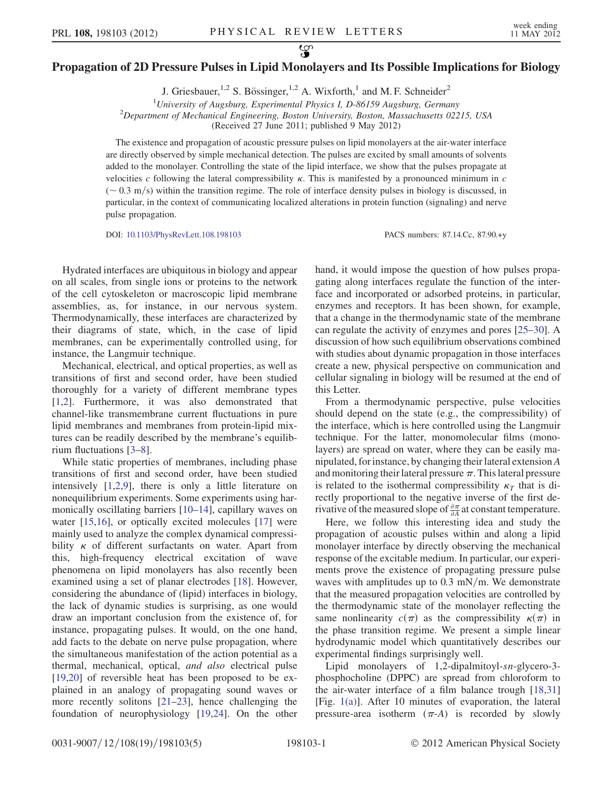## $\mathcal{L}$ Propagation of 2D Pressure Pulses in Lipid Monolayers and Its Possible Implications for Biology

J. Griesbauer,<sup>1,2</sup> S. Bössinger,<sup>1,2</sup> A. Wixforth,<sup>1</sup> and M.F. Schneider<sup>2</sup>

<sup>1</sup>University of Augsburg, Experimental Physics I, D-86159 Augsburg, Germany<br><sup>2</sup>Department of Mechanical Engineering, Boston University, Boston, Massachusetts 022  $^{2}$ Department of Mechanical Engineering, Boston University, Boston, Massachusetts 02215, USA (Received 27 June 2011; published 9 May 2012)

The existence and propagation of acoustic pressure pulses on lipid monolayers at the air-water interface are directly observed by simple mechanical detection. The pulses are excited by small amounts of solvents added to the monolayer. Controlling the state of the lipid interface, we show that the pulses propagate at velocities c following the lateral compressibility  $\kappa$ . This is manifested by a pronounced minimum in c  $({\sim} 0.3 \text{ m/s})$  within the transition regime. The role of interface density pulses in biology is discussed, in particular, in the context of communicating localized alterations in protein function (signaling) and nerve pulse propagation.

DOI: [10.1103/PhysRevLett.108.198103](http://dx.doi.org/10.1103/PhysRevLett.108.198103) PACS numbers: 87.14.Cc, 87.90.+y

Hydrated interfaces are ubiquitous in biology and appear on all scales, from single ions or proteins to the network of the cell cytoskeleton or macroscopic lipid membrane assemblies, as, for instance, in our nervous system. Thermodynamically, these interfaces are characterized by their diagrams of state, which, in the case of lipid membranes, can be experimentally controlled using, for instance, the Langmuir technique.

Mechanical, electrical, and optical properties, as well as transitions of first and second order, have been studied thoroughly for a variety of different membrane types [\[1,](#page-4-0)[2](#page-4-1)]. Furthermore, it was also demonstrated that channel-like transmembrane current fluctuations in pure lipid membranes and membranes from protein-lipid mixtures can be readily described by the membrane's equilibrium fluctuations [\[3](#page-4-2)–[8\]](#page-4-3).

While static properties of membranes, including phase transitions of first and second order, have been studied intensively [\[1,](#page-4-0)[2](#page-4-1)[,9](#page-4-4)], there is only a little literature on nonequilibrium experiments. Some experiments using harmonically oscillating barriers [\[10–](#page-4-5)[14\]](#page-4-6), capillary waves on water [\[15](#page-4-7)[,16\]](#page-4-8), or optically excited molecules [\[17\]](#page-4-9) were mainly used to analyze the complex dynamical compressibility  $\kappa$  of different surfactants on water. Apart from this, high-frequency electrical excitation of wave phenomena on lipid monolayers has also recently been examined using a set of planar electrodes [[18](#page-4-10)]. However, considering the abundance of (lipid) interfaces in biology, the lack of dynamic studies is surprising, as one would draw an important conclusion from the existence of, for instance, propagating pulses. It would, on the one hand, add facts to the debate on nerve pulse propagation, where the simultaneous manifestation of the action potential as a thermal, mechanical, optical, and also electrical pulse [\[19](#page-4-11)[,20\]](#page-4-12) of reversible heat has been proposed to be explained in an analogy of propagating sound waves or more recently solitons [[21](#page-4-13)–[23](#page-4-14)], hence challenging the foundation of neurophysiology [\[19,](#page-4-11)[24\]](#page-4-15). On the other hand, it would impose the question of how pulses propagating along interfaces regulate the function of the interface and incorporated or adsorbed proteins, in particular, enzymes and receptors. It has been shown, for example, that a change in the thermodynamic state of the membrane can regulate the activity of enzymes and pores [\[25–](#page-4-16)[30\]](#page-4-17). A discussion of how such equilibrium observations combined with studies about dynamic propagation in those interfaces create a new, physical perspective on communication and cellular signaling in biology will be resumed at the end of this Letter.

From a thermodynamic perspective, pulse velocities should depend on the state (e.g., the compressibility) of the interface, which is here controlled using the Langmuir technique. For the latter, monomolecular films (monolayers) are spread on water, where they can be easily manipulated, for instance, by changing their lateral extensionA and monitoring their lateral pressure  $\pi$ . This lateral pressure is related to the isothermal compressibility  $\kappa<sub>T</sub>$  that is directly proportional to the negative inverse of the first derivative of the measured slope of  $\frac{\partial \pi}{\partial A}$  at constant temperature.

Here, we follow this interesting idea and study the propagation of acoustic pulses within and along a lipid monolayer interface by directly observing the mechanical response of the excitable medium. In particular, our experiments prove the existence of propagating pressure pulse waves with amplitudes up to  $0.3$  mN/m. We demonstrate that the measured propagation velocities are controlled by the thermodynamic state of the monolayer reflecting the same nonlinearity  $c(\pi)$  as the compressibility  $\kappa(\pi)$  in the phase transition regime. We present a simple linear hydrodynamic model which quantitatively describes our experimental findings surprisingly well.

Lipid monolayers of 1,2-dipalmitoyl-sn-glycero-3 phosphocholine (DPPC) are spread from chloroform to the air-water interface of a film balance trough [\[18,](#page-4-10)[31\]](#page-4-18) [Fig. [1\(a\)](#page-1-0)]. After 10 minutes of evaporation, the lateral pressure-area isotherm  $(\pi$ -A) is recorded by slowly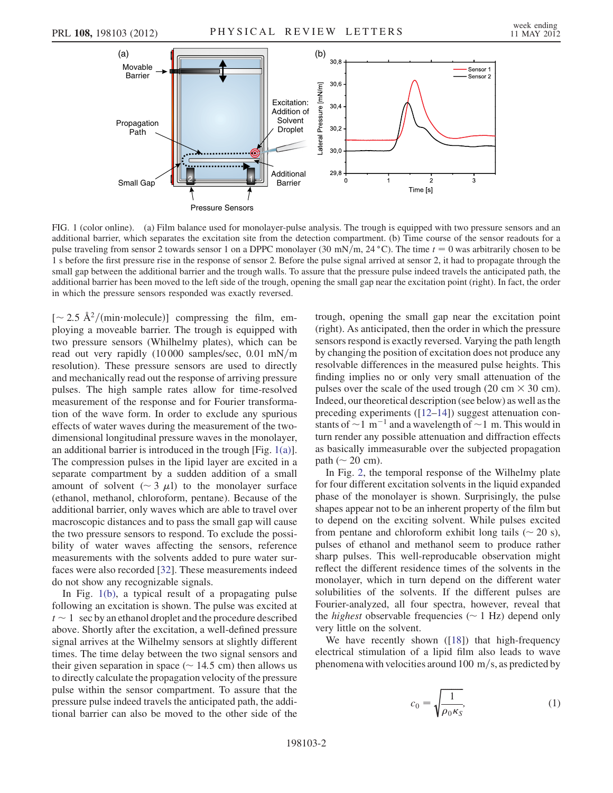

<span id="page-1-0"></span>FIG. 1 (color online). (a) Film balance used for monolayer-pulse analysis. The trough is equipped with two pressure sensors and an additional barrier, which separates the excitation site from the detection compartment. (b) Time course of the sensor readouts for a pulse traveling from sensor 2 towards sensor 1 on a DPPC monolayer (30 mN/m, 24 °C). The time  $t = 0$  was arbitrarily chosen to be 1 s before the first pressure rise in the response of sensor 2. Before the pulse signal arrived at sensor 2, it had to propagate through the small gap between the additional barrier and the trough walls. To assure that the pressure pulse indeed travels the anticipated path, the additional barrier has been moved to the left side of the trough, opening the small gap near the excitation point (right). In fact, the order in which the pressure sensors responded was exactly reversed.

 $\left[ \sim 2.5 \text{ \AA}^2/(\text{min-molecule}) \right]$  compressing the film, employing a moveable barrier. The trough is equipped with two pressure sensors (Whilhelmy plates), which can be read out very rapidly  $(10000 \text{ samples/sec}, 0.01 \text{ mN/m})$ resolution). These pressure sensors are used to directly and mechanically read out the response of arriving pressure pulses. The high sample rates allow for time-resolved measurement of the response and for Fourier transformation of the wave form. In order to exclude any spurious effects of water waves during the measurement of the twodimensional longitudinal pressure waves in the monolayer, an additional barrier is introduced in the trough [Fig. [1\(a\)\]](#page-1-0). The compression pulses in the lipid layer are excited in a separate compartment by a sudden addition of a small amount of solvent ( $\sim$  3  $\mu$ l) to the monolayer surface (ethanol, methanol, chloroform, pentane). Because of the additional barrier, only waves which are able to travel over macroscopic distances and to pass the small gap will cause the two pressure sensors to respond. To exclude the possibility of water waves affecting the sensors, reference measurements with the solvents added to pure water surfaces were also recorded [\[32\]](#page-4-19). These measurements indeed do not show any recognizable signals.

In Fig. [1\(b\),](#page-1-0) a typical result of a propagating pulse following an excitation is shown. The pulse was excited at  $t \sim 1$  sec by an ethanol droplet and the procedure described above. Shortly after the excitation, a well-defined pressure signal arrives at the Wilhelmy sensors at slightly different times. The time delay between the two signal sensors and their given separation in space ( $\sim 14.5$  cm) then allows us to directly calculate the propagation velocity of the pressure pulse within the sensor compartment. To assure that the pressure pulse indeed travels the anticipated path, the additional barrier can also be moved to the other side of the trough, opening the small gap near the excitation point (right). As anticipated, then the order in which the pressure sensors respond is exactly reversed. Varying the path length by changing the position of excitation does not produce any resolvable differences in the measured pulse heights. This finding implies no or only very small attenuation of the pulses over the scale of the used trough (20 cm  $\times$  30 cm). Indeed, our theoretical description (see below) as well as the preceding experiments ([[12](#page-4-20)[–14\]](#page-4-6)) suggest attenuation constants of  $\sim$  1 m<sup>-1</sup> and a wavelength of  $\sim$  1 m. This would in turn render any possible attenuation and diffraction effects as basically immeasurable over the subjected propagation path ( $\sim$  20 cm).

In Fig. [2,](#page-2-0) the temporal response of the Wilhelmy plate for four different excitation solvents in the liquid expanded phase of the monolayer is shown. Surprisingly, the pulse shapes appear not to be an inherent property of the film but to depend on the exciting solvent. While pulses excited from pentane and chloroform exhibit long tails  $(\sim 20 \text{ s})$ , pulses of ethanol and methanol seem to produce rather sharp pulses. This well-reproducable observation might reflect the different residence times of the solvents in the monolayer, which in turn depend on the different water solubilities of the solvents. If the different pulses are Fourier-analyzed, all four spectra, however, reveal that the *highest* observable frequencies  $(\sim 1 \text{ Hz})$  depend only very little on the solvent.

<span id="page-1-1"></span>We have recently shown ([[18](#page-4-10)]) that high-frequency electrical stimulation of a lipid film also leads to wave phenomena with velocities around 100 m/s, as predicted by

$$
c_0 = \sqrt{\frac{1}{\rho_0 \kappa_S}},\tag{1}
$$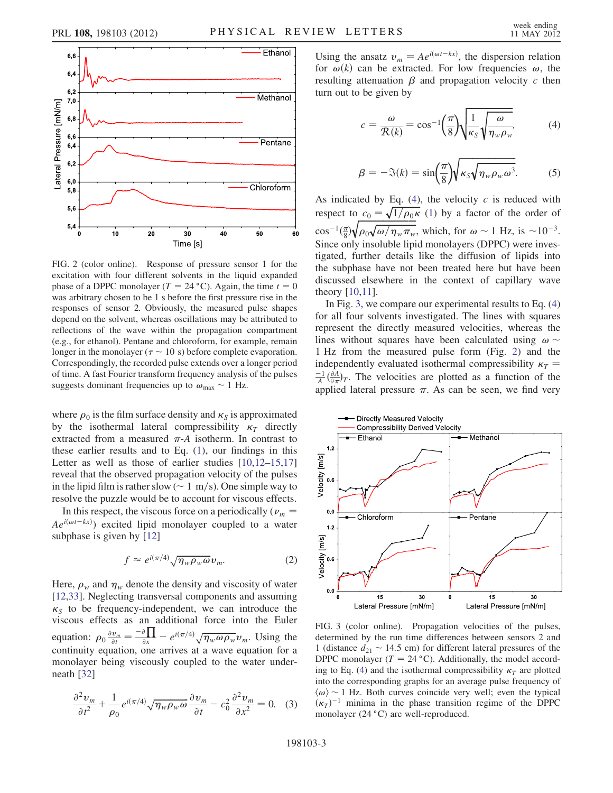<span id="page-2-0"></span>

FIG. 2 (color online). Response of pressure sensor 1 for the excitation with four different solvents in the liquid expanded phase of a DPPC monolayer ( $T = 24 \degree C$ ). Again, the time  $t = 0$ was arbitrary chosen to be 1 s before the first pressure rise in the responses of sensor 2. Obviously, the measured pulse shapes depend on the solvent, whereas oscillations may be attributed to reflections of the wave within the propagation compartment (e.g., for ethanol). Pentane and chloroform, for example, remain longer in the monolayer ( $\tau \sim 10 \text{ s}$ ) before complete evaporation. Correspondingly, the recorded pulse extends over a longer period of time. A fast Fourier transform frequency analysis of the pulses suggests dominant frequencies up to  $\omega_{\text{max}} \sim 1$  Hz.

where  $\rho_0$  is the film surface density and  $\kappa_s$  is approximated by the isothermal lateral compressibility  $\kappa<sub>T</sub>$  directly extracted from a measured  $\pi$ -A isotherm. In contrast to these earlier results and to Eq. [\(1\)](#page-1-1), our findings in this Letter as well as those of earlier studies  $[10,12-15,17]$  $[10,12-15,17]$  $[10,12-15,17]$  $[10,12-15,17]$ reveal that the observed propagation velocity of the pulses in the lipid film is rather slow ( $\sim 1 \text{ m/s}$ ). One simple way to resolve the puzzle would be to account for viscous effects.

In this respect, the viscous force on a periodically ( $\nu_m$  =  $Ae^{i(\omega t - kx)}$  excited lipid monolayer coupled to a water subphase is given by [\[12\]](#page-4-20)

$$
f \approx e^{i(\pi/4)} \sqrt{\eta_w \rho_w \omega} \nu_m. \tag{2}
$$

Here,  $\rho_w$  and  $\eta_w$  denote the density and viscosity of water [\[12](#page-4-20)[,33\]](#page-4-21). Neglecting transversal components and assuming  $\kappa<sub>S</sub>$  to be frequency-independent, we can introduce the viscous effects as an additional force into the Euler equation:  $\rho_0 \frac{\partial v_m}{\partial t} = \frac{-\partial \prod}{\partial x} - e^{i(\pi/4)} \sqrt{\eta_w \omega \rho_w} v_m$ . Using the continuity equation, one arrives at a wave equation for a monolayer being viscously coupled to the water underneath [\[32\]](#page-4-19)

$$
\frac{\partial^2 v_m}{\partial t^2} + \frac{1}{\rho_0} e^{i(\pi/4)} \sqrt{\eta_w \rho_w \omega} \frac{\partial v_m}{\partial t} - c_0^2 \frac{\partial^2 v_m}{\partial x^2} = 0. \quad (3)
$$

<span id="page-2-3"></span>Using the ansatz  $v_m = Ae^{i(\omega t - kx)}$ , the dispersion relation for  $\omega(k)$  can be extracted. For low frequencies  $\omega$ , the resulting attenuation  $\beta$  and propagation velocity c then turn out to be given by

$$
c = \frac{\omega}{\mathcal{R}(k)} = \cos^{-1}\left(\frac{\pi}{8}\right)\sqrt{\frac{1}{\kappa_S}\sqrt{\frac{\omega}{\eta_w \rho_w}}},\tag{4}
$$

$$
\beta = -\Im(k) = \sin\left(\frac{\pi}{8}\right) \sqrt{\kappa_S \sqrt{\eta_w \rho_w \omega^3}}.
$$
 (5)

<span id="page-2-1"></span>As indicated by Eq.  $(4)$ , the velocity c is reduced with respect to  $c_0 = \sqrt{1/\rho_0 \kappa}$  [\(1](#page-1-1)) by a factor of the order of  $\cos^{-1}(\frac{\pi}{8})\sqrt{\rho_0\sqrt{\omega/\eta_w\pi_w}}$ , which, for  $\omega \sim 1$  Hz, is  $\sim 10^{-3}$ . Since only insoluble lipid monolayers (DPPC) were investigated, further details like the diffusion of lipids into the subphase have not been treated here but have been discussed elsewhere in the context of capillary wave theory [\[10](#page-4-5)[,11\]](#page-4-22).

In Fig. [3](#page-2-2), we compare our experimental results to Eq. [\(4\)](#page-2-1) for all four solvents investigated. The lines with squares represent the directly measured velocities, whereas the lines without squares have been calculated using  $\omega \sim$ 1 Hz from the measured pulse form (Fig. [2](#page-2-0)) and the independently evaluated isothermal compressibility  $\kappa_T$  =  $\frac{-1}{A}(\frac{\partial A}{\partial \pi})_T$ . The velocities are plotted as a function of the applied lateral pressure  $\pi$ . As can be seen, we find very

<span id="page-2-2"></span>

FIG. 3 (color online). Propagation velocities of the pulses, determined by the run time differences between sensors 2 and 1 (distance  $d_{21} \sim 14.5$  cm) for different lateral pressures of the DPPC monolayer ( $T = 24 \degree C$ ). Additionally, the model accord-ing to Eq. [\(4](#page-2-1)) and the isothermal compressibility  $\kappa<sub>T</sub>$  are plotted into the corresponding graphs for an average pulse frequency of  $\langle \omega \rangle$  ~ 1 Hz. Both curves coincide very well; even the typical  $(\kappa_T)^{-1}$  minima in the phase transition regime of the DPPC monolayer  $(24 °C)$  are well-reproduced.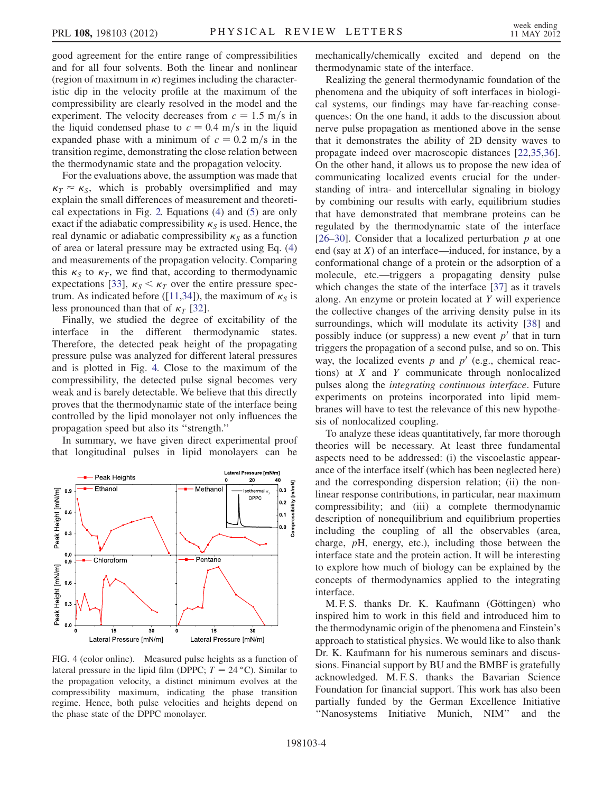good agreement for the entire range of compressibilities and for all four solvents. Both the linear and nonlinear (region of maximum in  $\kappa$ ) regimes including the characteristic dip in the velocity profile at the maximum of the compressibility are clearly resolved in the model and the experiment. The velocity decreases from  $c = 1.5$  m/s in the liquid condensed phase to  $c = 0.4$  m/s in the liquid expanded phase with a minimum of  $c = 0.2$  m/s in the transition regime, demonstrating the close relation between the thermodynamic state and the propagation velocity.

For the evaluations above, the assumption was made that  $\kappa_T \approx \kappa_S$ , which is probably oversimplified and may explain the small differences of measurement and theoretical expectations in Fig. [2.](#page-2-0) Equations [\(4\)](#page-2-1) and ([5](#page-2-3)) are only exact if the adiabatic compressibility  $\kappa<sub>S</sub>$  is used. Hence, the real dynamic or adiabatic compressibility  $\kappa_S$  as a function of area or lateral pressure may be extracted using Eq. [\(4\)](#page-2-1) and measurements of the propagation velocity. Comparing this  $\kappa_S$  to  $\kappa_T$ , we find that, according to thermodynamic expectations [\[33\]](#page-4-21),  $\kappa_s < \kappa_T$  over the entire pressure spec-trum. As indicated before ([[11](#page-4-22),[34](#page-4-23)]), the maximum of  $\kappa_S$  is less pronounced than that of  $\kappa_T$  [[32](#page-4-19)].

Finally, we studied the degree of excitability of the interface in the different thermodynamic states. Therefore, the detected peak height of the propagating pressure pulse was analyzed for different lateral pressures and is plotted in Fig. [4.](#page-3-0) Close to the maximum of the compressibility, the detected pulse signal becomes very weak and is barely detectable. We believe that this directly proves that the thermodynamic state of the interface being controlled by the lipid monolayer not only influences the propagation speed but also its ''strength.''

In summary, we have given direct experimental proof that longitudinal pulses in lipid monolayers can be

<span id="page-3-0"></span>

FIG. 4 (color online). Measured pulse heights as a function of lateral pressure in the lipid film (DPPC;  $T = 24 \degree C$ ). Similar to the propagation velocity, a distinct minimum evolves at the compressibility maximum, indicating the phase transition regime. Hence, both pulse velocities and heights depend on the phase state of the DPPC monolayer.

mechanically/chemically excited and depend on the thermodynamic state of the interface.

Realizing the general thermodynamic foundation of the phenomena and the ubiquity of soft interfaces in biological systems, our findings may have far-reaching consequences: On the one hand, it adds to the discussion about nerve pulse propagation as mentioned above in the sense that it demonstrates the ability of 2D density waves to propagate indeed over macroscopic distances [\[22](#page-4-24)[,35,](#page-4-25)[36\]](#page-4-26). On the other hand, it allows us to propose the new idea of communicating localized events crucial for the understanding of intra- and intercellular signaling in biology by combining our results with early, equilibrium studies that have demonstrated that membrane proteins can be regulated by the thermodynamic state of the interface [\[26–](#page-4-27)[30\]](#page-4-17). Consider that a localized perturbation  $p$  at one end (say at  $X$ ) of an interface—induced, for instance, by a conformational change of a protein or the adsorption of a molecule, etc.—triggers a propagating density pulse which changes the state of the interface [\[37\]](#page-4-28) as it travels along. An enzyme or protein located at Y will experience the collective changes of the arriving density pulse in its surroundings, which will modulate its activity [\[38\]](#page-4-29) and possibly induce (or suppress) a new event  $p'$  that in turn triggers the propagation of a second pulse, and so on. This way, the localized events p and  $p'$  (e.g., chemical reactions) at X and Y communicate through nonlocalized pulses along the integrating continuous interface. Future experiments on proteins incorporated into lipid membranes will have to test the relevance of this new hypothesis of nonlocalized coupling.

To analyze these ideas quantitatively, far more thorough theories will be necessary. At least three fundamental aspects need to be addressed: (i) the viscoelastic appearance of the interface itself (which has been neglected here) and the corresponding dispersion relation; (ii) the nonlinear response contributions, in particular, near maximum compressibility; and (iii) a complete thermodynamic description of nonequilibrium and equilibrium properties including the coupling of all the observables (area, charge, pH, energy, etc.), including those between the interface state and the protein action. It will be interesting to explore how much of biology can be explained by the concepts of thermodynamics applied to the integrating interface.

M. F. S. thanks Dr. K. Kaufmann (Göttingen) who inspired him to work in this field and introduced him to the thermodynamic origin of the phenomena and Einstein's approach to statistical physics. We would like to also thank Dr. K. Kaufmann for his numerous seminars and discussions. Financial support by BU and the BMBF is gratefully acknowledged. M. F. S. thanks the Bavarian Science Foundation for financial support. This work has also been partially funded by the German Excellence Initiative ''Nanosystems Initiative Munich, NIM'' and the